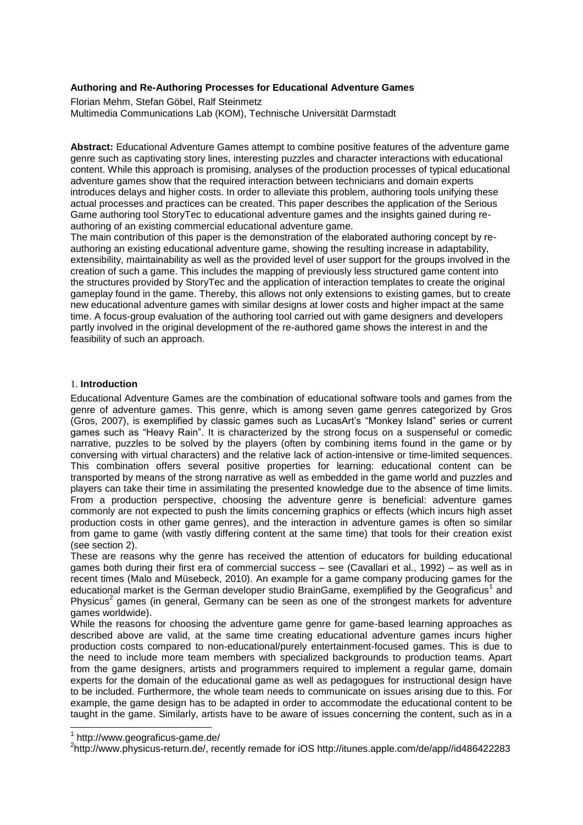#### **Authoring and Re-Authoring Processes for Educational Adventure Games**

Florian Mehm, Stefan Göbel, Ralf Steinmetz Multimedia Communications Lab (KOM), Technische Universität Darmstadt

**Abstract:** Educational Adventure Games attempt to combine positive features of the adventure game genre such as captivating story lines, interesting puzzles and character interactions with educational content. While this approach is promising, analyses of the production processes of typical educational adventure games show that the required interaction between technicians and domain experts introduces delays and higher costs. In order to alleviate this problem, authoring tools unifying these actual processes and practices can be created. This paper describes the application of the Serious Game authoring tool StoryTec to educational adventure games and the insights gained during reauthoring of an existing commercial educational adventure game.

The main contribution of this paper is the demonstration of the elaborated authoring concept by reauthoring an existing educational adventure game, showing the resulting increase in adaptability, extensibility, maintainability as well as the provided level of user support for the groups involved in the creation of such a game. This includes the mapping of previously less structured game content into the structures provided by StoryTec and the application of interaction templates to create the original gameplay found in the game. Thereby, this allows not only extensions to existing games, but to create new educational adventure games with similar designs at lower costs and higher impact at the same time. A focus-group evaluation of the authoring tool carried out with game designers and developers partly involved in the original development of the re-authored game shows the interest in and the feasibility of such an approach.

### 1. **Introduction**

Educational Adventure Games are the combination of educational software tools and games from the genre of adventure games. This genre, which is among seven game genres categorized by Gros (Gros, 2007), is exemplified by classic games such as LucasArt's "Monkey Island" series or current games such as "Heavy Rain". It is characterized by the strong focus on a suspenseful or comedic narrative, puzzles to be solved by the players (often by combining items found in the game or by conversing with virtual characters) and the relative lack of action-intensive or time-limited sequences. This combination offers several positive properties for learning: educational content can be transported by means of the strong narrative as well as embedded in the game world and puzzles and players can take their time in assimilating the presented knowledge due to the absence of time limits. From a production perspective, choosing the adventure genre is beneficial: adventure games commonly are not expected to push the limits concerning graphics or effects (which incurs high asset production costs in other game genres), and the interaction in adventure games is often so similar from game to game (with vastly differing content at the same time) that tools for their creation exist (see section [2\)](#page-1-0).

These are reasons why the genre has received the attention of educators for building educational games both during their first era of commercial success – see (Cavallari et al., 1992) – as well as in recent times (Malo and Müsebeck, 2010). An example for a game company producing games for the educational market is the German developer studio BrainGame, exemplified by the Geograficus<sup>1</sup> and Physicus<sup>2</sup> games (in general, Germany can be seen as one of the strongest markets for adventure games worldwide).

While the reasons for choosing the adventure game genre for game-based learning approaches as described above are valid, at the same time creating educational adventure games incurs higher production costs compared to non-educational/purely entertainment-focused games. This is due to the need to include more team members with specialized backgrounds to production teams. Apart from the game designers, artists and programmers required to implement a regular game, domain experts for the domain of the educational game as well as pedagogues for instructional design have to be included. Furthermore, the whole team needs to communicate on issues arising due to this. For example, the game design has to be adapted in order to accommodate the educational content to be taught in the game. Similarly, artists have to be aware of issues concerning the content, such as in a

-

<sup>1</sup> http://www.geograficus-game.de/

<sup>2</sup> http://www.physicus-return.de/, recently remade for iOS http://itunes.apple.com/de/app//id486422283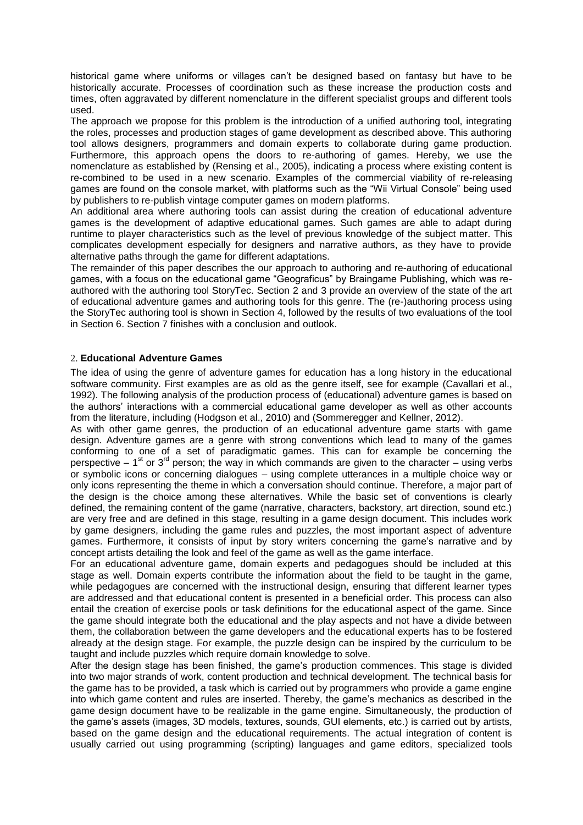historical game where uniforms or villages can't be designed based on fantasy but have to be historically accurate. Processes of coordination such as these increase the production costs and times, often aggravated by different nomenclature in the different specialist groups and different tools used.

The approach we propose for this problem is the introduction of a unified authoring tool, integrating the roles, processes and production stages of game development as described above. This authoring tool allows designers, programmers and domain experts to collaborate during game production. Furthermore, this approach opens the doors to re-authoring of games. Hereby, we use the nomenclature as established by (Rensing et al., 2005), indicating a process where existing content is re-combined to be used in a new scenario. Examples of the commercial viability of re-releasing games are found on the console market, with platforms such as the "Wii Virtual Console" being used by publishers to re-publish vintage computer games on modern platforms.

An additional area where authoring tools can assist during the creation of educational adventure games is the development of adaptive educational games. Such games are able to adapt during runtime to player characteristics such as the level of previous knowledge of the subject matter. This complicates development especially for designers and narrative authors, as they have to provide alternative paths through the game for different adaptations.

The remainder of this paper describes the our approach to authoring and re-authoring of educational games, with a focus on the educational game "Geograficus" by Braingame Publishing, which was reauthored with the authoring tool StoryTec. Section [2](#page-1-0) and [3](#page-2-0) provide an overview of the state of the art of educational adventure games and authoring tools for this genre. The (re-)authoring process using the StoryTec authoring tool is shown in Section [4,](#page-2-1) followed by the results of two evaluations of the tool in Section [6.](#page-6-0) Section [7](#page-7-0) finishes with a conclusion and outlook.

### <span id="page-1-0"></span>2. **Educational Adventure Games**

The idea of using the genre of adventure games for education has a long history in the educational software community. First examples are as old as the genre itself, see for example (Cavallari et al., 1992). The following analysis of the production process of (educational) adventure games is based on the authors' interactions with a commercial educational game developer as well as other accounts from the literature, including (Hodgson et al., 2010) and (Sommeregger and Kellner, 2012).

As with other game genres, the production of an educational adventure game starts with game design. Adventure games are a genre with strong conventions which lead to many of the games conforming to one of a set of paradigmatic games. This can for example be concerning the perspective  $-1$ <sup>st</sup> or 3<sup>rd</sup> person; the way in which commands are given to the character  $-$  using verbs or symbolic icons or concerning dialogues – using complete utterances in a multiple choice way or only icons representing the theme in which a conversation should continue. Therefore, a major part of the design is the choice among these alternatives. While the basic set of conventions is clearly defined, the remaining content of the game (narrative, characters, backstory, art direction, sound etc.) are very free and are defined in this stage, resulting in a game design document. This includes work by game designers, including the game rules and puzzles, the most important aspect of adventure games. Furthermore, it consists of input by story writers concerning the game's narrative and by concept artists detailing the look and feel of the game as well as the game interface.

For an educational adventure game, domain experts and pedagogues should be included at this stage as well. Domain experts contribute the information about the field to be taught in the game, while pedagogues are concerned with the instructional design, ensuring that different learner types are addressed and that educational content is presented in a beneficial order. This process can also entail the creation of exercise pools or task definitions for the educational aspect of the game. Since the game should integrate both the educational and the play aspects and not have a divide between them, the collaboration between the game developers and the educational experts has to be fostered already at the design stage. For example, the puzzle design can be inspired by the curriculum to be taught and include puzzles which require domain knowledge to solve.

After the design stage has been finished, the game's production commences. This stage is divided into two major strands of work, content production and technical development. The technical basis for the game has to be provided, a task which is carried out by programmers who provide a game engine into which game content and rules are inserted. Thereby, the game's mechanics as described in the game design document have to be realizable in the game engine. Simultaneously, the production of the game's assets (images, 3D models, textures, sounds, GUI elements, etc.) is carried out by artists, based on the game design and the educational requirements. The actual integration of content is usually carried out using programming (scripting) languages and game editors, specialized tools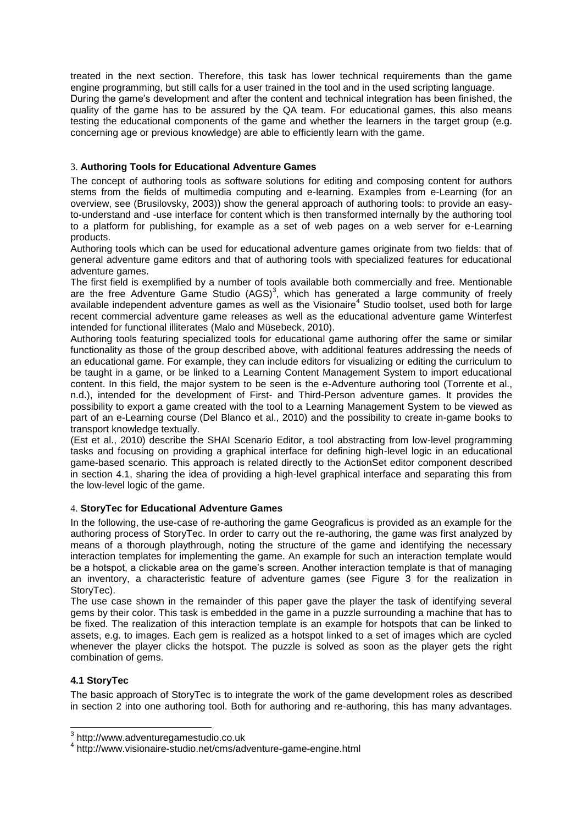treated in the next section. Therefore, this task has lower technical requirements than the game engine programming, but still calls for a user trained in the tool and in the used scripting language. During the game's development and after the content and technical integration has been finished, the quality of the game has to be assured by the QA team. For educational games, this also means testing the educational components of the game and whether the learners in the target group (e.g. concerning age or previous knowledge) are able to efficiently learn with the game.

### <span id="page-2-0"></span>3. **Authoring Tools for Educational Adventure Games**

The concept of authoring tools as software solutions for editing and composing content for authors stems from the fields of multimedia computing and e-learning. Examples from e-Learning (for an overview, see (Brusilovsky, 2003)) show the general approach of authoring tools: to provide an easyto-understand and -use interface for content which is then transformed internally by the authoring tool to a platform for publishing, for example as a set of web pages on a web server for e-Learning products.

Authoring tools which can be used for educational adventure games originate from two fields: that of general adventure game editors and that of authoring tools with specialized features for educational adventure games.

The first field is exemplified by a number of tools available both commercially and free. Mentionable are the free Adventure Game Studio  $(AGS)^3$ , which has generated a large community of freely available independent adventure games as well as the Visionaire<sup>4</sup> Studio toolset, used both for large recent commercial adventure game releases as well as the educational adventure game Winterfest intended for functional illiterates (Malo and Müsebeck, 2010).

Authoring tools featuring specialized tools for educational game authoring offer the same or similar functionality as those of the group described above, with additional features addressing the needs of an educational game. For example, they can include editors for visualizing or editing the curriculum to be taught in a game, or be linked to a Learning Content Management System to import educational content. In this field, the major system to be seen is the e-Adventure authoring tool (Torrente et al., n.d.), intended for the development of First- and Third-Person adventure games. It provides the possibility to export a game created with the tool to a Learning Management System to be viewed as part of an e-Learning course (Del Blanco et al., 2010) and the possibility to create in-game books to transport knowledge textually.

(Est et al., 2010) describe the SHAI Scenario Editor, a tool abstracting from low-level programming tasks and focusing on providing a graphical interface for defining high-level logic in an educational game-based scenario. This approach is related directly to the ActionSet editor component described in section [4.1,](#page-2-2) sharing the idea of providing a high-level graphical interface and separating this from the low-level logic of the game.

## <span id="page-2-1"></span>4. **StoryTec for Educational Adventure Games**

In the following, the use-case of re-authoring the game Geograficus is provided as an example for the authoring process of StoryTec. In order to carry out the re-authoring, the game was first analyzed by means of a thorough playthrough, noting the structure of the game and identifying the necessary interaction templates for implementing the game. An example for such an interaction template would be a hotspot, a clickable area on the game's screen. Another interaction template is that of managing an inventory, a characteristic feature of adventure games (see [Figure 3](#page-4-0) for the realization in StoryTec).

The use case shown in the remainder of this paper gave the player the task of identifying several gems by their color. This task is embedded in the game in a puzzle surrounding a machine that has to be fixed. The realization of this interaction template is an example for hotspots that can be linked to assets, e.g. to images. Each gem is realized as a hotspot linked to a set of images which are cycled whenever the player clicks the hotspot. The puzzle is solved as soon as the player gets the right combination of gems.

## <span id="page-2-2"></span>**4.1 StoryTec**

The basic approach of StoryTec is to integrate the work of the game development roles as described in section [2](#page-1-0) into one authoring tool. Both for authoring and re-authoring, this has many advantages.

 3 http://www.adventuregamestudio.co.uk

<sup>4</sup> http://www.visionaire-studio.net/cms/adventure-game-engine.html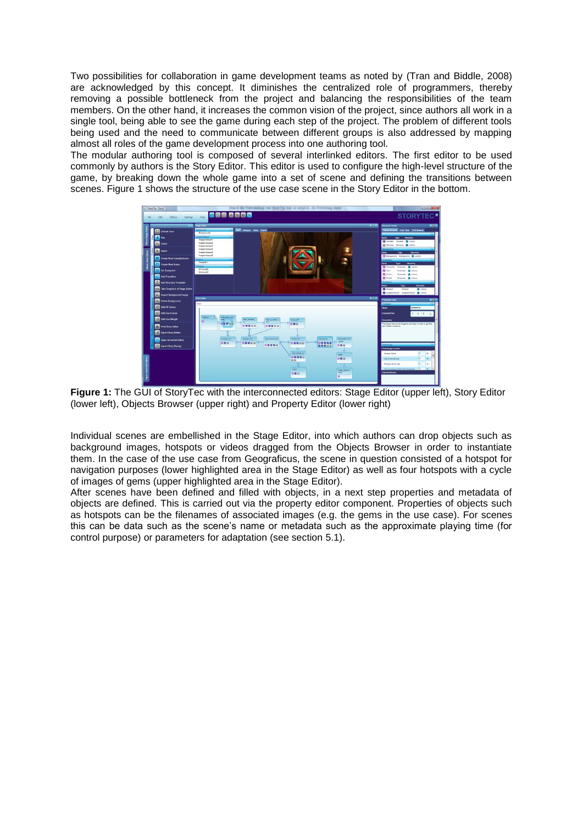Two possibilities for collaboration in game development teams as noted by (Tran and Biddle, 2008) are acknowledged by this concept. It diminishes the centralized role of programmers, thereby removing a possible bottleneck from the project and balancing the responsibilities of the team members. On the other hand, it increases the common vision of the project, since authors all work in a single tool, being able to see the game during each step of the project. The problem of different tools being used and the need to communicate between different groups is also addressed by mapping almost all roles of the game development process into one authoring tool.

The modular authoring tool is composed of several interlinked editors. The first editor to be used commonly by authors is the Story Editor. This editor is used to configure the high-level structure of the game, by breaking down the whole game into a set of scene and defining the transitions between scenes. [Figure 1](#page-3-0) shows the structure of the use case scene in the Story Editor in the bottom.



<span id="page-3-0"></span>**Figure 1:** The GUI of StoryTec with the interconnected editors: Stage Editor (upper left), Story Editor (lower left), Objects Browser (upper right) and Property Editor (lower right)

Individual scenes are embellished in the Stage Editor, into which authors can drop objects such as background images, hotspots or videos dragged from the Objects Browser in order to instantiate them. In the case of the use case from Geograficus, the scene in question consisted of a hotspot for navigation purposes (lower highlighted area in the Stage Editor) as well as four hotspots with a cycle of images of gems (upper highlighted area in the Stage Editor).

After scenes have been defined and filled with objects, in a next step properties and metadata of objects are defined. This is carried out via the property editor component. Properties of objects such as hotspots can be the filenames of associated images (e.g. the gems in the use case). For scenes this can be data such as the scene's name or metadata such as the approximate playing time (for control purpose) or parameters for adaptation (see section [5.1\)](#page-5-0).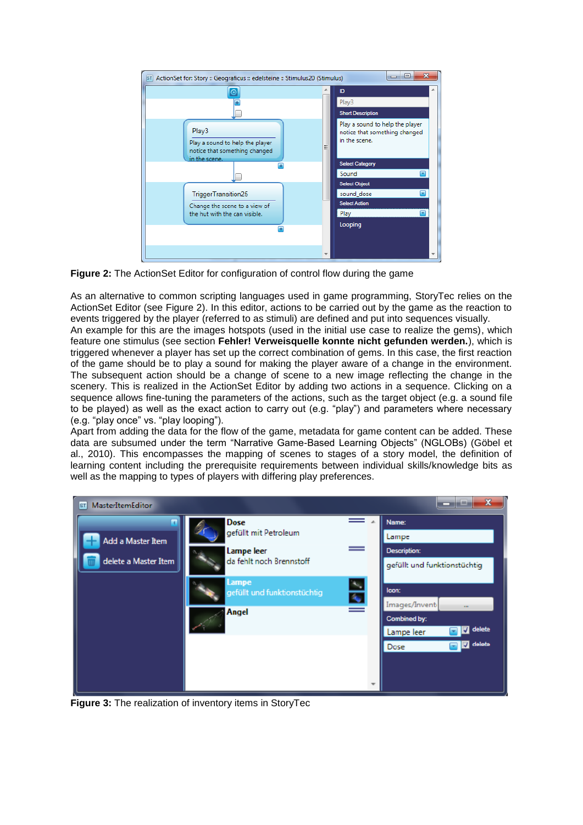

<span id="page-4-1"></span>**Figure 2:** The ActionSet Editor for configuration of control flow during the game

As an alternative to common scripting languages used in game programming, StoryTec relies on the ActionSet Editor (see [Figure 2\)](#page-4-1). In this editor, actions to be carried out by the game as the reaction to events triggered by the player (referred to as stimuli) are defined and put into sequences visually.

An example for this are the images hotspots (used in the initial use case to realize the gems), which feature one stimulus (see section **Fehler! Verweisquelle konnte nicht gefunden werden.**), which is triggered whenever a player has set up the correct combination of gems. In this case, the first reaction of the game should be to play a sound for making the player aware of a change in the environment. The subsequent action should be a change of scene to a new image reflecting the change in the scenery. This is realized in the ActionSet Editor by adding two actions in a sequence. Clicking on a sequence allows fine-tuning the parameters of the actions, such as the target object (e.g. a sound file to be played) as well as the exact action to carry out (e.g. "play") and parameters where necessary (e.g. "play once" vs. "play looping").

Apart from adding the data for the flow of the game, metadata for game content can be added. These data are subsumed under the term "Narrative Game-Based Learning Objects" (NGLOBs) (Göbel et al., 2010). This encompasses the mapping of scenes to stages of a story model, the definition of learning content including the prerequisite requirements between individual skills/knowledge bits as well as the mapping to types of players with differing play preferences.

<span id="page-4-0"></span>

**Figure 3:** The realization of inventory items in StoryTec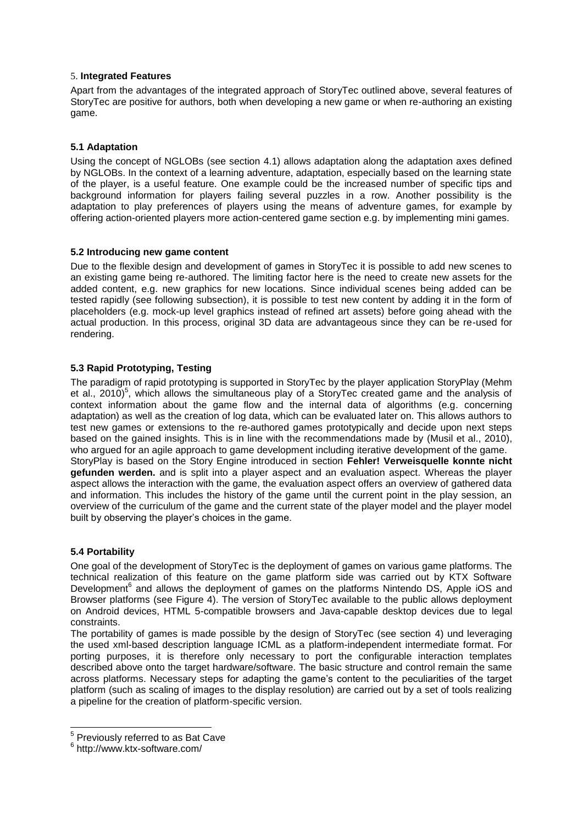### 5. **Integrated Features**

Apart from the advantages of the integrated approach of StoryTec outlined above, several features of StoryTec are positive for authors, both when developing a new game or when re-authoring an existing game.

## <span id="page-5-0"></span>**5.1 Adaptation**

Using the concept of NGLOBs (see section [4.1\)](#page-2-2) allows adaptation along the adaptation axes defined by NGLOBs. In the context of a learning adventure, adaptation, especially based on the learning state of the player, is a useful feature. One example could be the increased number of specific tips and background information for players failing several puzzles in a row. Another possibility is the adaptation to play preferences of players using the means of adventure games, for example by offering action-oriented players more action-centered game section e.g. by implementing mini games.

### **5.2 Introducing new game content**

Due to the flexible design and development of games in StoryTec it is possible to add new scenes to an existing game being re-authored. The limiting factor here is the need to create new assets for the added content, e.g. new graphics for new locations. Since individual scenes being added can be tested rapidly (see following subsection), it is possible to test new content by adding it in the form of placeholders (e.g. mock-up level graphics instead of refined art assets) before going ahead with the actual production. In this process, original 3D data are advantageous since they can be re-used for rendering.

### **5.3 Rapid Prototyping, Testing**

The paradigm of rapid prototyping is supported in StoryTec by the player application StoryPlay (Mehm et al., 2010)<sup>5</sup>, which allows the simultaneous play of a StoryTec created game and the analysis of context information about the game flow and the internal data of algorithms (e.g. concerning adaptation) as well as the creation of log data, which can be evaluated later on. This allows authors to test new games or extensions to the re-authored games prototypically and decide upon next steps based on the gained insights. This is in line with the recommendations made by (Musil et al., 2010), who argued for an agile approach to game development including iterative development of the game. StoryPlay is based on the Story Engine introduced in section **Fehler! Verweisquelle konnte nicht gefunden werden.** and is split into a player aspect and an evaluation aspect. Whereas the player aspect allows the interaction with the game, the evaluation aspect offers an overview of gathered data and information. This includes the history of the game until the current point in the play session, an overview of the curriculum of the game and the current state of the player model and the player model built by observing the player's choices in the game.

## **5.4 Portability**

One goal of the development of StoryTec is the deployment of games on various game platforms. The technical realization of this feature on the game platform side was carried out by KTX Software Development<sup>6</sup> and allows the deployment of games on the platforms Nintendo DS, Apple iOS and Browser platforms (see [Figure 4\)](#page-6-1). The version of StoryTec available to the public allows deployment on Android devices, HTML 5-compatible browsers and Java-capable desktop devices due to legal constraints.

The portability of games is made possible by the design of StoryTec (see section [4\)](#page-2-1) und leveraging the used xml-based description language ICML as a platform-independent intermediate format. For porting purposes, it is therefore only necessary to port the configurable interaction templates described above onto the target hardware/software. The basic structure and control remain the same across platforms. Necessary steps for adapting the game's content to the peculiarities of the target platform (such as scaling of images to the display resolution) are carried out by a set of tools realizing a pipeline for the creation of platform-specific version.

 5 Previously referred to as Bat Cave

<sup>6</sup> http://www.ktx-software.com/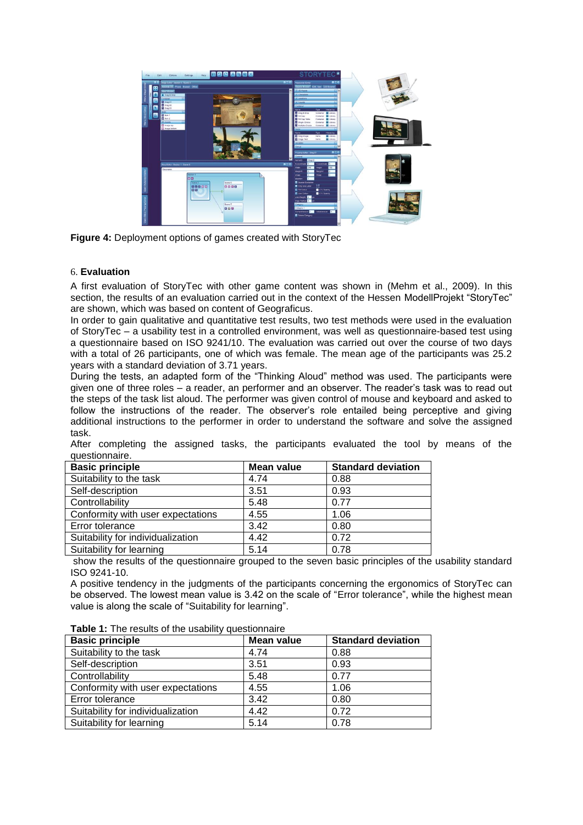

**Figure 4:** Deployment options of games created with StoryTec

# <span id="page-6-1"></span><span id="page-6-0"></span>6. **Evaluation**

A first evaluation of StoryTec with other game content was shown in (Mehm et al., 2009). In this section, the results of an evaluation carried out in the context of the Hessen ModellProjekt "StoryTec" are shown, which was based on content of Geograficus.

In order to gain qualitative and quantitative test results, two test methods were used in the evaluation of StoryTec – a usability test in a controlled environment, was well as questionnaire-based test using a questionnaire based on ISO 9241/10. The evaluation was carried out over the course of two days with a total of 26 participants, one of which was female. The mean age of the participants was 25.2 years with a standard deviation of 3.71 years.

During the tests, an adapted form of the "Thinking Aloud" method was used. The participants were given one of three roles – a reader, an performer and an observer. The reader's task was to read out the steps of the task list aloud. The performer was given control of mouse and keyboard and asked to follow the instructions of the reader. The observer's role entailed being perceptive and giving additional instructions to the performer in order to understand the software and solve the assigned task.

After completing the assigned tasks, the participants evaluated the tool by means of the questionnaire.

| <b>Basic principle</b>            | Mean value | <b>Standard deviation</b> |
|-----------------------------------|------------|---------------------------|
| Suitability to the task           | 4.74       | 0.88                      |
| Self-description                  | 3.51       | 0.93                      |
| Controllability                   | 5.48       | 0.77                      |
| Conformity with user expectations | 4.55       | 1.06                      |
| Error tolerance                   | 3.42       | 0.80                      |
| Suitability for individualization | 4.42       | 0.72                      |
| Suitability for learning          | 5.14       | 0.78                      |

show the results of the questionnaire grouped to the seven basic principles of the usability standard ISO 9241-10.

A positive tendency in the judgments of the participants concerning the ergonomics of StoryTec can be observed. The lowest mean value is 3.42 on the scale of "Error tolerance", while the highest mean value is along the scale of "Suitability for learning".

<span id="page-6-2"></span>

| <b>TWATS</b> II THO TOOGHO OF THO GOGDING GOODHOMMUOT |            |                           |  |
|-------------------------------------------------------|------------|---------------------------|--|
| <b>Basic principle</b>                                | Mean value | <b>Standard deviation</b> |  |
| Suitability to the task                               | 4.74       | 0.88                      |  |
| Self-description                                      | 3.51       | 0.93                      |  |
| Controllability                                       | 5.48       | 0.77                      |  |
| Conformity with user expectations                     | 4.55       | 1.06                      |  |
| Error tolerance                                       | 3.42       | 0.80                      |  |
| Suitability for individualization                     | 4.42       | 0.72                      |  |
| Suitability for learning                              | 5.14       | 0.78                      |  |

**Table 1:** The results of the usability questionnaire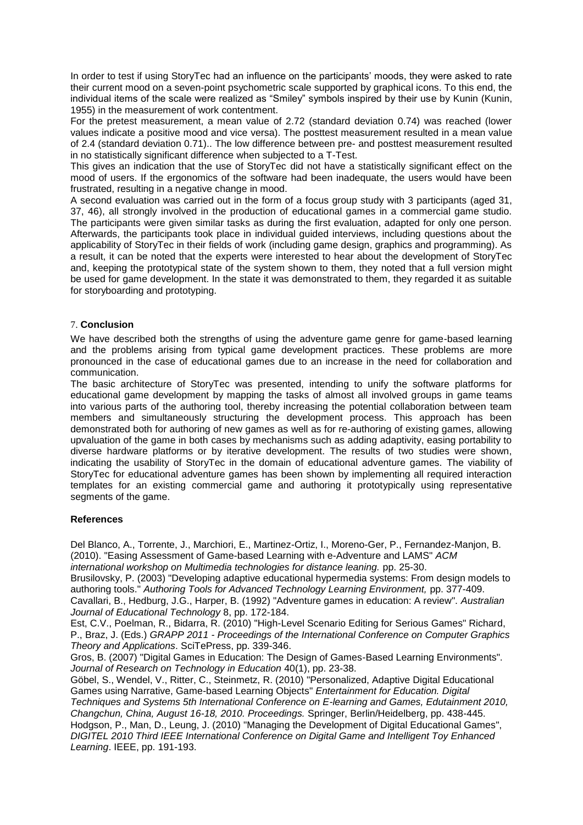In order to test if using StoryTec had an influence on the participants' moods, they were asked to rate their current mood on a seven-point psychometric scale supported by graphical icons. To this end, the individual items of the scale were realized as "Smiley" symbols inspired by their use by Kunin (Kunin, 1955) in the measurement of work contentment.

For the pretest measurement, a mean value of 2.72 (standard deviation 0.74) was reached (lower values indicate a positive mood and vice versa). The posttest measurement resulted in a mean value of 2.4 (standard deviation 0.71).. The low difference between pre- and posttest measurement resulted in no statistically significant difference when subjected to a T-Test.

This gives an indication that the use of StoryTec did not have a statistically significant effect on the mood of users. If the ergonomics of the software had been inadequate, the users would have been frustrated, resulting in a negative change in mood.

A second evaluation was carried out in the form of a focus group study with 3 participants (aged 31, 37, 46), all strongly involved in the production of educational games in a commercial game studio. The participants were given similar tasks as during the first evaluation, adapted for only one person. Afterwards, the participants took place in individual guided interviews, including questions about the applicability of StoryTec in their fields of work (including game design, graphics and programming). As a result, it can be noted that the experts were interested to hear about the development of StoryTec and, keeping the prototypical state of the system shown to them, they noted that a full version might be used for game development. In the state it was demonstrated to them, they regarded it as suitable for storyboarding and prototyping.

### <span id="page-7-0"></span>7. **Conclusion**

We have described both the strengths of using the adventure game genre for game-based learning and the problems arising from typical game development practices. These problems are more pronounced in the case of educational games due to an increase in the need for collaboration and communication.

The basic architecture of StoryTec was presented, intending to unify the software platforms for educational game development by mapping the tasks of almost all involved groups in game teams into various parts of the authoring tool, thereby increasing the potential collaboration between team members and simultaneously structuring the development process. This approach has been demonstrated both for authoring of new games as well as for re-authoring of existing games, allowing upvaluation of the game in both cases by mechanisms such as adding adaptivity, easing portability to diverse hardware platforms or by iterative development. The results of two studies were shown, indicating the usability of StoryTec in the domain of educational adventure games. The viability of StoryTec for educational adventure games has been shown by implementing all required interaction templates for an existing commercial game and authoring it prototypically using representative segments of the game.

#### **References**

Del Blanco, A., Torrente, J., Marchiori, E., Martinez-Ortiz, I., Moreno-Ger, P., Fernandez-Manjon, B. (2010). "Easing Assessment of Game-based Learning with e-Adventure and LAMS" *ACM international workshop on Multimedia technologies for distance leaning.* pp. 25-30.

Brusilovsky, P. (2003) "Developing adaptive educational hypermedia systems: From design models to

authoring tools." *Authoring Tools for Advanced Technology Learning Environment,* pp. 377-409.

Cavallari, B., Hedburg, J.G., Harper, B. (1992) "Adventure games in education: A review". *Australian Journal of Educational Technology* 8, pp. 172-184.

Est, C.V., Poelman, R., Bidarra, R. (2010) "High-Level Scenario Editing for Serious Games" Richard, P., Braz, J. (Eds.) *GRAPP 2011 - Proceedings of the International Conference on Computer Graphics Theory and Applications*. SciTePress, pp. 339-346.

Gros, B. (2007) "Digital Games in Education: The Design of Games-Based Learning Environments". *Journal of Research on Technology in Education* 40(1), pp. 23-38.

Göbel, S., Wendel, V., Ritter, C., Steinmetz, R. (2010) "Personalized, Adaptive Digital Educational Games using Narrative, Game-based Learning Objects" *Entertainment for Education. Digital Techniques and Systems 5th International Conference on E-learning and Games, Edutainment 2010, Changchun, China, August 16-18, 2010. Proceedings.* Springer, Berlin/Heidelberg, pp. 438-445. Hodgson, P., Man, D., Leung, J. (2010) "Managing the Development of Digital Educational Games", *DIGITEL 2010 Third IEEE International Conference on Digital Game and Intelligent Toy Enhanced Learning*. IEEE, pp. 191-193.